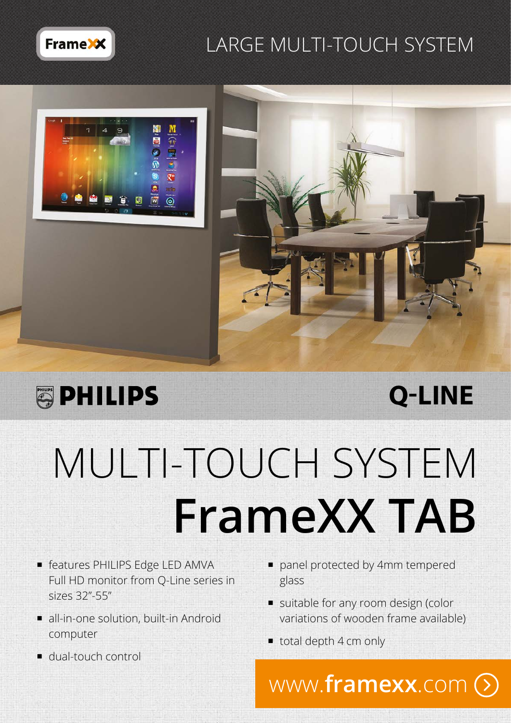

### LARGE MULTI-TOUCH SYSTEM







## **Q-Line**

# MULTI-TOUCH SYSTEM **FrameXX TAB**

- **features PHILIPS Edge LED AMVA** Full HD monitor from Q-Line series in sizes 32"-55"
- all-in-one solution, built-in Android computer
- dual-touch control
- panel protected by 4mm tempered glass
- suitable for any room design (color variations of wooden frame available)

www.**framexx**.com

total depth 4 cm only